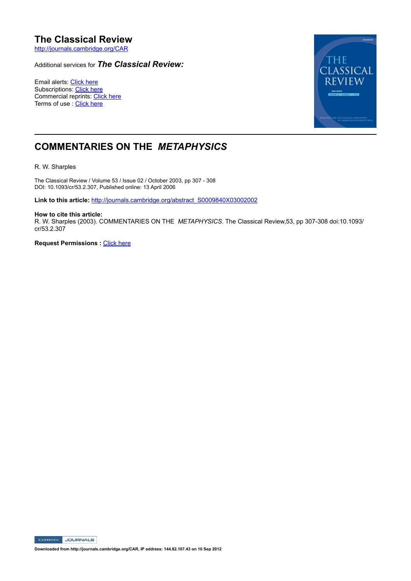# **The Classical Review**

http://journals.cambridge.org/CAR

## Additional services for *The Classical Review:*

Email alerts: Click here Subscriptions: Click here Commercial reprints: Click here Terms of use : Click here



## **COMMENTARIES ON THE** *METAPHYSICS*

R. W. Sharples

The Classical Review / Volume 53 / Issue 02 / October 2003, pp 307 - 308 DOI: 10.1093/cr/53.2.307, Published online: 13 April 2006

**Link to this article:** http://journals.cambridge.org/abstract\_S0009840X03002002

#### **How to cite this article:**

R. W. Sharples (2003). COMMENTARIES ON THE METAPHYSICS. The Classical Review,53, pp 307-308 doi:10.1093/ cr/53.2.307

**Request Permissions : Click here** 

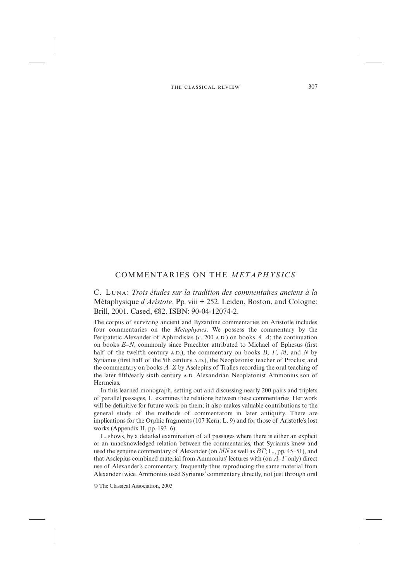### COMMENTARIES ON THE *METAPHYSICS*

C. L: *Trois études sur la tradition des commentaires anciens à la* Métaphysique *d'Aristote*. Pp. viii + 252. Leiden, Boston, and Cologne: Brill, 2001. Cased, €82. ISBN: 90-04-12074-2.

The corpus of surviving ancient and Byzantine commentaries on Aristotle includes four commentaries on the *Metaphysics*. We possess the commentary by the Peripatetic Alexander of Aphrodisias (*c*. 200 A.D.) on books  $A-\Delta$ ; the continuation on books  $E-N$ , commonly since Praechter attributed to Michael of Ephesus (first half of the twelfth century  $A.D.$ ); the commentary on books  $B, T, M$ , and  $N$  by Syrianus (first half of the 5th century A.D.), the Neoplatonist teacher of Proclus; and the commentary on books  $A-Z$  by Asclepius of Tralles recording the oral teaching of the later fifth/early sixth century A.D. Alexandrian Neoplatonist Ammonius son of Hermeias.

In this learned monograph, setting out and discussing nearly 200 pairs and triplets of parallel passages, L. examines the relations between these commentaries. Her work will be definitive for future work on them; it also makes valuable contributions to the general study of the methods of commentators in later antiquity. There are implications for the Orphic fragments (107 Kern: L. 9) and for those of Aristotle's lost works (Appendix II, pp. 193–6).

L. shows, by a detailed examination of all passages where there is either an explicit or an unacknowledged relation between the commentaries, that Syrianus knew and used the genuine commentary of Alexander (on MN as well as  $BT$ ; L., pp. 45–51), and that Asclepius combined material from Ammonius' lectures with (on  $A$ – $\Gamma$  only) direct use of Alexander's commentary, frequently thus reproducing the same material from Alexander twice. Ammonius used Syrianus' commentary directly, not just through oral